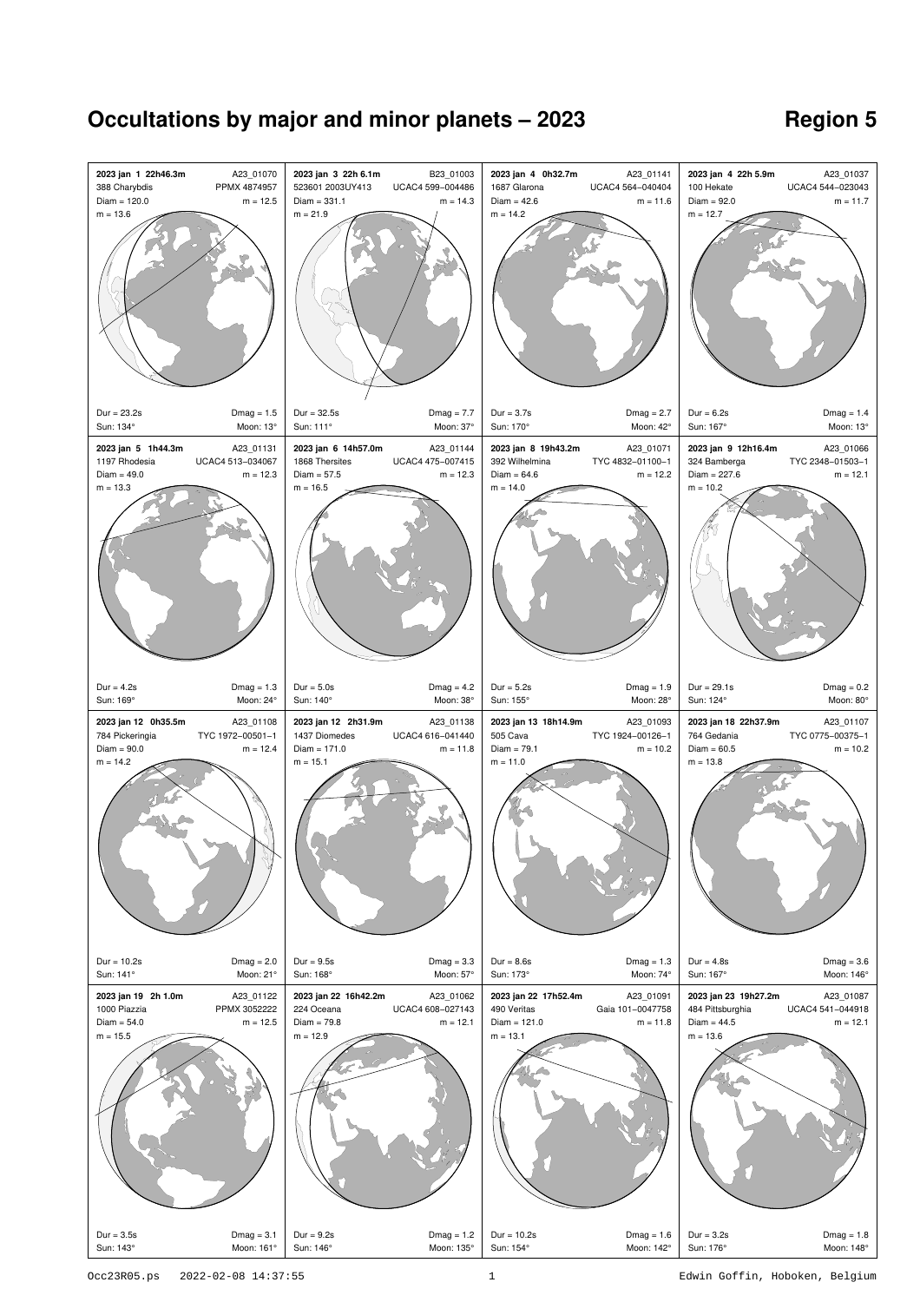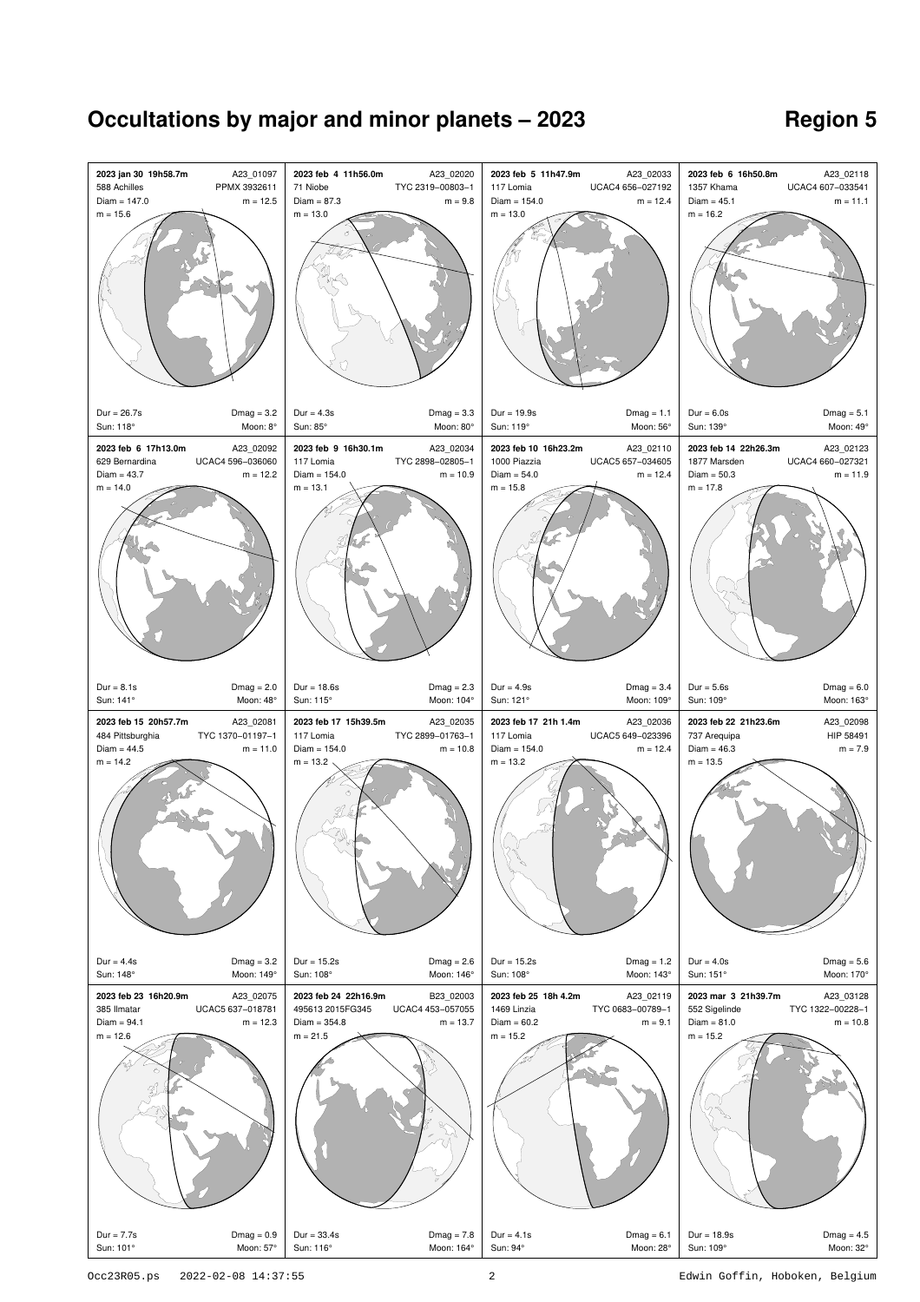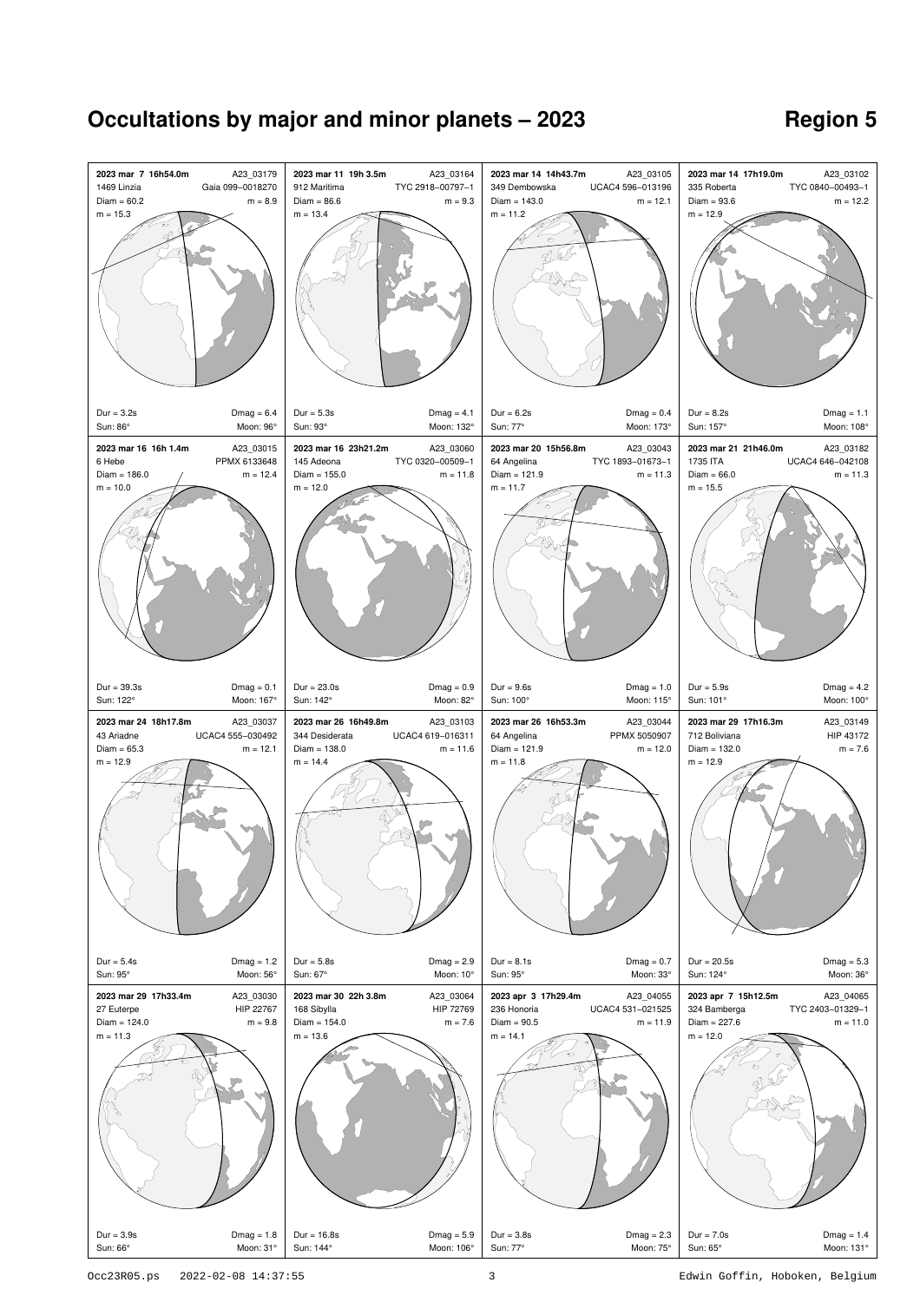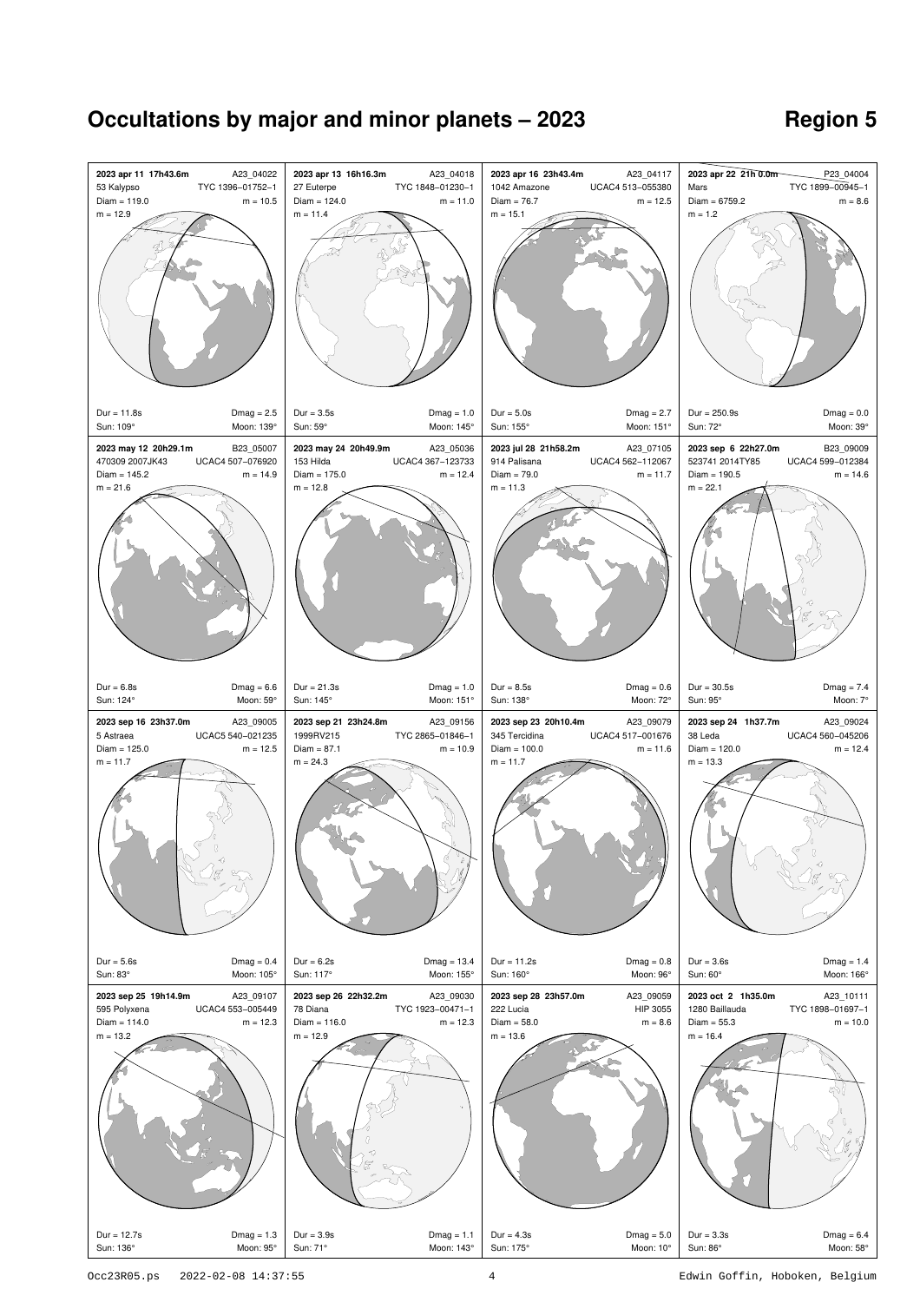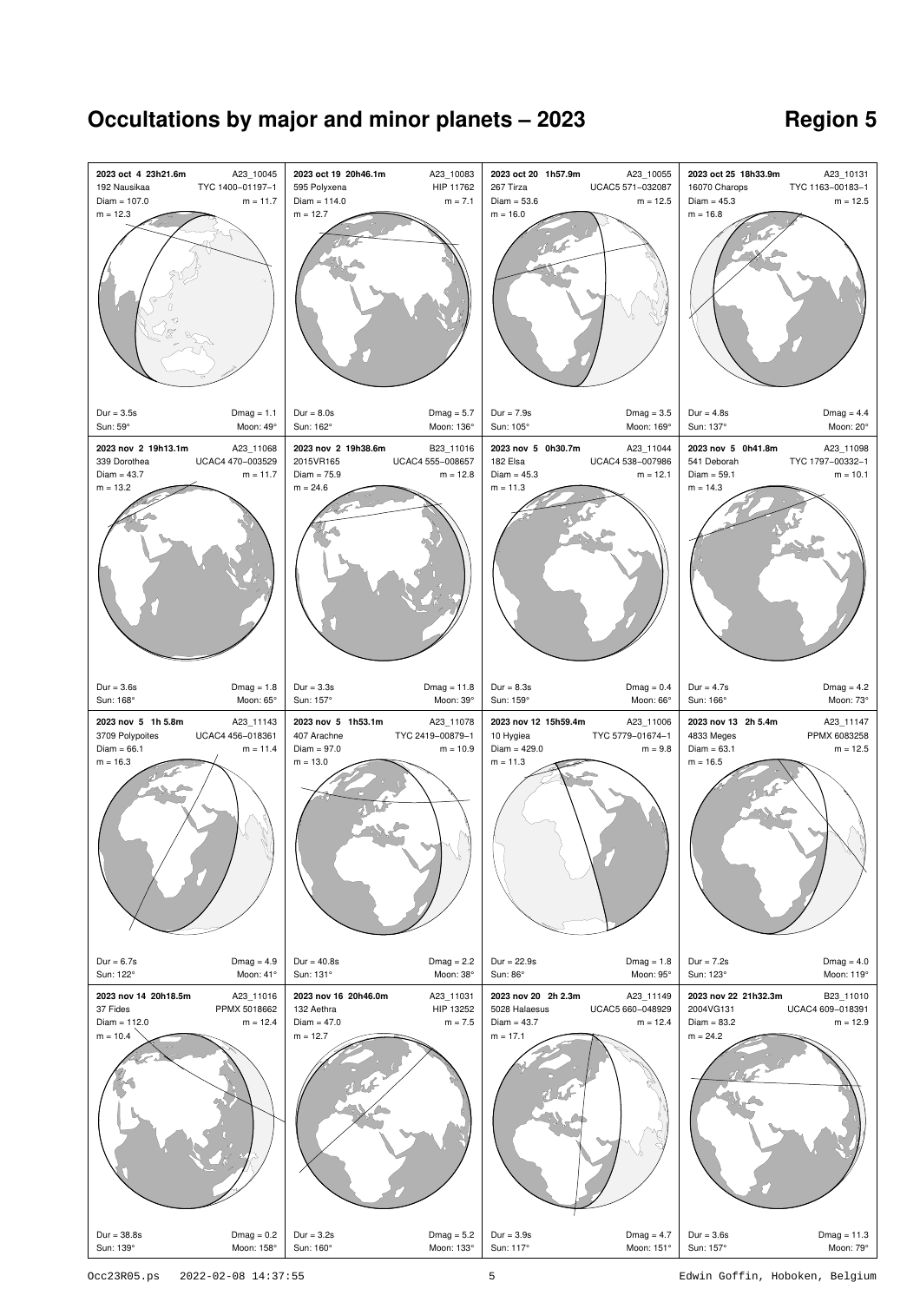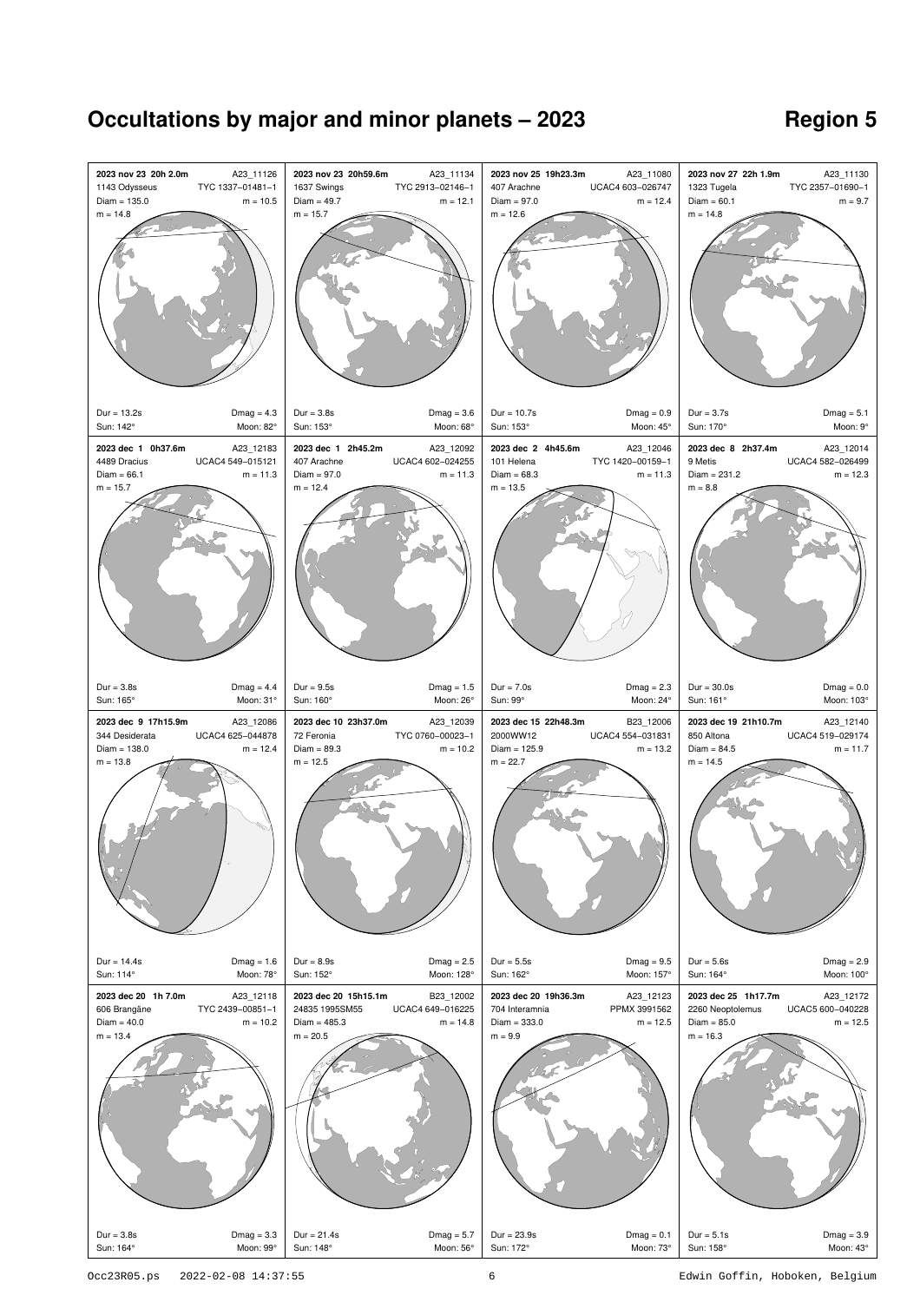